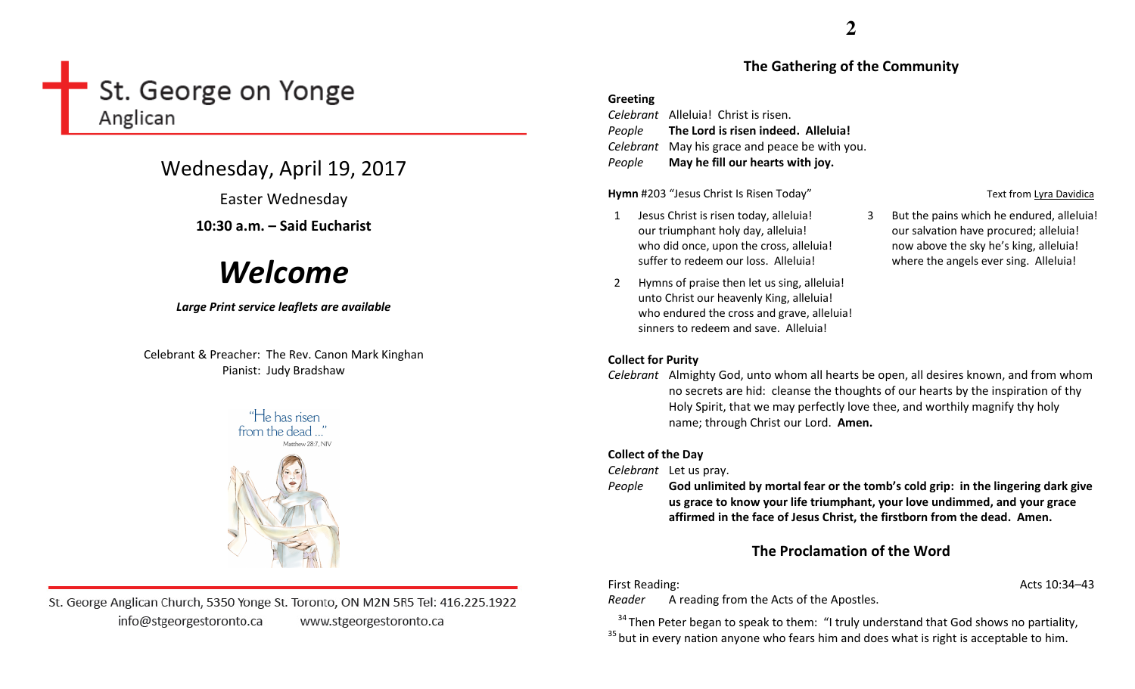# St. George on Yonge Anglican

# Wednesday, April 19, 2017

Easter Wednesday

# 10:30 a.m. – Said Eucharist

# Welcome

### Large Print service leaflets are available

Celebrant & Preacher: The Rev. Canon Mark Kinghan Pianist: Judy Bradshaw





# **2**

### The Gathering of the Community

#### Greeting

Celebrant Alleluia! Christ is risen. People The Lord is risen indeed. Alleluia! Celebrant May his grace and peace be with you. PeopleMay he fill our hearts with joy.

Hymn #203 "Jesus Christ Is Risen Today" Text from Lyra Davidica

- 1 Jesus Christ is risen today, alleluia! our triumphant holy day, alleluia! who did once, upon the cross, alleluia! suffer to redeem our loss. Alleluia!
- 2 Hymns of praise then let us sing, alleluia! unto Christ our heavenly King, alleluia! who endured the cross and grave, alleluia! sinners to redeem and save. Alleluia!

name; through Christ our Lord. Amen.

#### Collect for Purity

Celebrant Almighty God, unto whom all hearts be open, all desires known, and from whom no secrets are hid: cleanse the thoughts of our hearts by the inspiration of thy Holy Spirit, that we may perfectly love thee, and worthily magnify thy holy

#### Collect of the Day

Celebrant Let us pray.

People God unlimited by mortal fear or the tomb's cold grip: in the lingering dark give us grace to know your life triumphant, your love undimmed, and your grace affirmed in the face of Jesus Christ, the firstborn from the dead. Amen.

# The Proclamation of the Word

First Reading: Acts 10:34–43

Reader A reading from the Acts of the Apostles.

 $34$ Then Peter began to speak to them: "I truly understand that God shows no partiality,  $35$  but in every nation anyone who fears him and does what is right is acceptable to him.

3 But the pains which he endured, alleluia! our salvation have procured; alleluia! now above the sky he's king, alleluia! where the angels ever sing. Alleluia!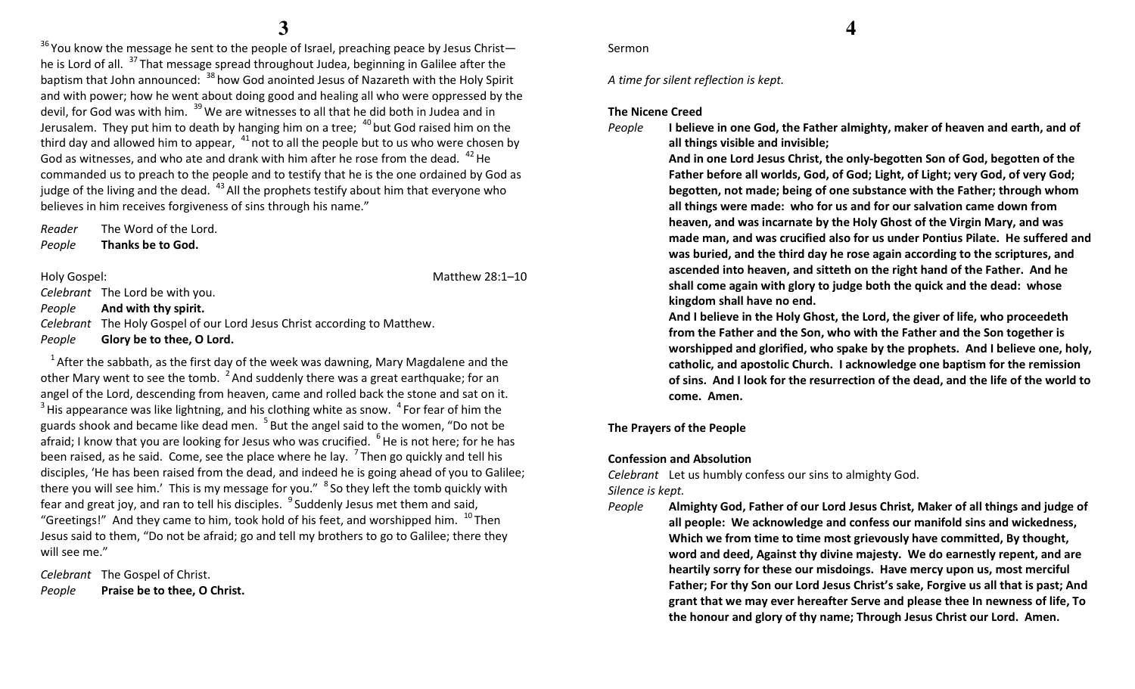$^{36}$ You know the message he sent to the people of Israel, preaching peace by Jesus Christ he is Lord of all. <sup>37</sup>That message spread throughout Judea, beginning in Galilee after the baptism that John announced:  $38$  how God anointed Jesus of Nazareth with the Holy Spirit and with power; how he went about doing good and healing all who were oppressed by the devil, for God was with him. <sup>39</sup> We are witnesses to all that he did both in Judea and in Jerusalem. They put him to death by hanging him on a tree;  $40$  but God raised him on the third day and allowed him to appear,  $41$  not to all the people but to us who were chosen by God as witnesses, and who ate and drank with him after he rose from the dead.  $42$  He commanded us to preach to the people and to testify that he is the one ordained by God as judge of the living and the dead.  $43$  All the prophets testify about him that everyone who believes in him receives forgiveness of sins through his name."

Reader The Word of the Lord. PeopleThanks be to God.

Holy Gospel: National Association of the Matthew 28:1–10

Celebrant The Lord be with you.

#### PeopleAnd with thy spirit.

Celebrant The Holy Gospel of our Lord Jesus Christ according to Matthew.

PeopleGlory be to thee, O Lord.

 $1$  After the sabbath, as the first day of the week was dawning, Mary Magdalene and the other Mary went to see the tomb.  $2$  And suddenly there was a great earthquake; for an angel of the Lord, descending from heaven, came and rolled back the stone and sat on it.  $3$  His appearance was like lightning, and his clothing white as snow.  $4$  For fear of him the guards shook and became like dead men. <sup>5</sup> But the angel said to the women, "Do not be afraid; I know that you are looking for Jesus who was crucified. <sup>6</sup>He is not here; for he has been raised, as he said. Come, see the place where he lay.  $7$ Then go quickly and tell his disciples, 'He has been raised from the dead, and indeed he is going ahead of you to Galilee; there you will see him.' This is my message for you."  $8$  So they left the tomb quickly with fear and great joy, and ran to tell his disciples.  $9$  Suddenly Jesus met them and said, "Greetings!" And they came to him, took hold of his feet, and worshipped him.  $^{10}$  Then Jesus said to them, "Do not be afraid; go and tell my brothers to go to Galilee; there they will see me."

Celebrant The Gospel of Christ. PeoplePraise be to thee, O Christ.

#### Sermon

A time for silent reflection is kept.

#### The Nicene Creed

People

all things visible and invisible;

 And in one Lord Jesus Christ, the only-begotten Son of God, begotten of the Father before all worlds, God, of God; Light, of Light; very God, of very God; begotten, not made; being of one substance with the Father; through whom all things were made: who for us and for our salvation came down from heaven, and was incarnate by the Holy Ghost of the Virgin Mary, and was made man, and was crucified also for us under Pontius Pilate. He suffered and was buried, and the third day he rose again according to the scriptures, and ascended into heaven, and sitteth on the right hand of the Father. And he shall come again with glory to judge both the quick and the dead: whose kingdom shall have no end.

I believe in one God, the Father almighty, maker of heaven and earth, and of

And I believe in the Holy Ghost, the Lord, the giver of life, who proceedeth from the Father and the Son, who with the Father and the Son together is worshipped and glorified, who spake by the prophets. And I believe one, holy, catholic, and apostolic Church. I acknowledge one baptism for the remission of sins. And I look for the resurrection of the dead, and the life of the world to come. Amen.

#### The Prayers of the People

#### Confession and Absolution

Celebrant Let us humbly confess our sins to almighty God. Silence is kept.

People Almighty God, Father of our Lord Jesus Christ, Maker of all things and judge of all people: We acknowledge and confess our manifold sins and wickedness, Which we from time to time most grievously have committed, By thought, word and deed, Against thy divine majesty. We do earnestly repent, and are heartily sorry for these our misdoings. Have mercy upon us, most merciful Father; For thy Son our Lord Jesus Christ's sake, Forgive us all that is past; And grant that we may ever hereafter Serve and please thee In newness of life, To the honour and glory of thy name; Through Jesus Christ our Lord. Amen.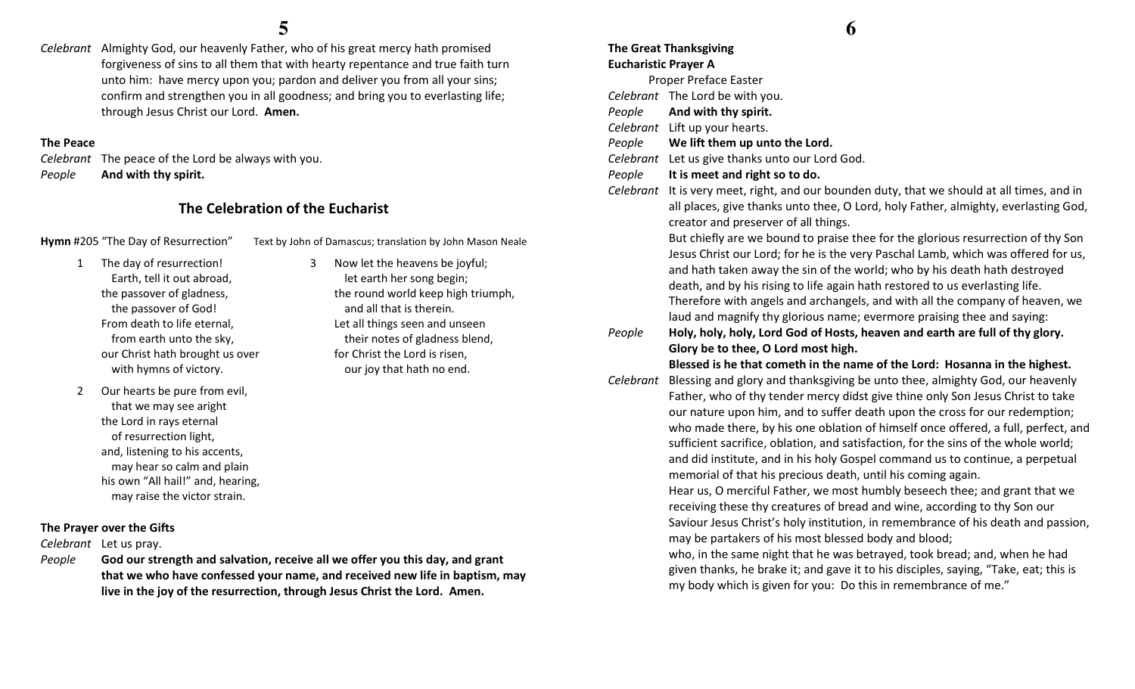Celebrant Almighty God, our heavenly Father, who of his great mercy hath promised forgiveness of sins to all them that with hearty repentance and true faith turn unto him: have mercy upon you; pardon and deliver you from all your sins; confirm and strengthen you in all goodness; and bring you to everlasting life; through Jesus Christ our Lord. Amen.

#### The Peace

Celebrant The peace of the Lord be always with you. PeopleAnd with thy spirit.

# The Celebration of the Eucharist

3

Hymn #205 "The Day of Resurrection" Text by John of Damascus; translation by John Mason Neale

and all that is therein. Let all things seen and unseen their notes of gladness blend,

for Christ the Lord is risen, our joy that hath no end.

 Now let the heavens be joyful; let earth her song begin;

the round world keep high triumph,

- 1 The day of resurrection! Earth, tell it out abroad, the passover of gladness, the passover of God! From death to life eternal, from earth unto the sky, our Christ hath brought us over with hymns of victory.
- 2 Our hearts be pure from evil, that we may see aright the Lord in rays eternal of resurrection light, and, listening to his accents, may hear so calm and plain his own "All hail!" and, hearing, may raise the victor strain.

## The Prayer over the Gifts

Celebrant Let us pray.

People God our strength and salvation, receive all we offer you this day, and grant that we who have confessed your name, and received new life in baptism, may live in the joy of the resurrection, through Jesus Christ the Lord. Amen.

# The Great Thanksgiving Eucharistic Prayer A

Proper Preface Easter

- Celebrant The Lord be with you.
- PeopleAnd with thy spirit.
- Celebrant Lift up your hearts.
- PeopleWe lift them up unto the Lord.
- Celebrant Let us give thanks unto our Lord God.
- PeopleIt is meet and right so to do.
- Celebrant It is very meet, right, and our bounden duty, that we should at all times, and in all places, give thanks unto thee, O Lord, holy Father, almighty, everlasting God, creator and preserver of all things.

But chiefly are we bound to praise thee for the glorious resurrection of thy Son Jesus Christ our Lord; for he is the very Paschal Lamb, which was offered for us, and hath taken away the sin of the world; who by his death hath destroyed death, and by his rising to life again hath restored to us everlasting life. Therefore with angels and archangels, and with all the company of heaven, we laud and magnify thy glorious name; evermore praising thee and saying:

People Holy, holy, holy, Lord God of Hosts, heaven and earth are full of thy glory. Glory be to thee, O Lord most high.

Blessed is he that cometh in the name of the Lord: Hosanna in the highest.

Celebrant Blessing and glory and thanksgiving be unto thee, almighty God, our heavenly Father, who of thy tender mercy didst give thine only Son Jesus Christ to take our nature upon him, and to suffer death upon the cross for our redemption; who made there, by his one oblation of himself once offered, a full, perfect, and sufficient sacrifice, oblation, and satisfaction, for the sins of the whole world; and did institute, and in his holy Gospel command us to continue, a perpetual memorial of that his precious death, until his coming again.

> Hear us, O merciful Father, we most humbly beseech thee; and grant that we receiving these thy creatures of bread and wine, according to thy Son our Saviour Jesus Christ's holy institution, in remembrance of his death and passion, may be partakers of his most blessed body and blood;

who, in the same night that he was betrayed, took bread; and, when he had given thanks, he brake it; and gave it to his disciples, saying, "Take, eat; this is my body which is given for you: Do this in remembrance of me."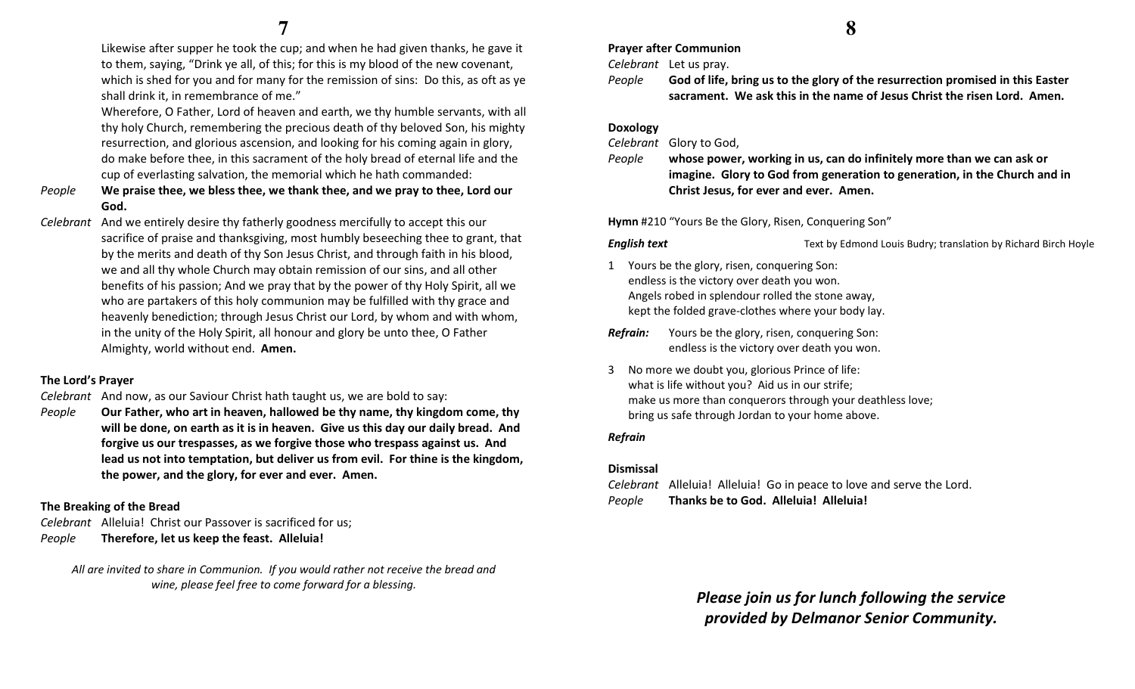Likewise after supper he took the cup; and when he had given thanks, he gave it to them, saying, "Drink ye all, of this; for this is my blood of the new covenant, which is shed for you and for many for the remission of sins: Do this, as oft as ye shall drink it, in remembrance of me."

Wherefore, O Father, Lord of heaven and earth, we thy humble servants, with all thy holy Church, remembering the precious death of thy beloved Son, his mighty resurrection, and glorious ascension, and looking for his coming again in glory, do make before thee, in this sacrament of the holy bread of eternal life and the cup of everlasting salvation, the memorial which he hath commanded:

- People We praise thee, we bless thee, we thank thee, and we pray to thee, Lord our God.
- Celebrant And we entirely desire thy fatherly goodness mercifully to accept this our sacrifice of praise and thanksgiving, most humbly beseeching thee to grant, that by the merits and death of thy Son Jesus Christ, and through faith in his blood, we and all thy whole Church may obtain remission of our sins, and all other benefits of his passion; And we pray that by the power of thy Holy Spirit, all we who are partakers of this holy communion may be fulfilled with thy grace and heavenly benediction; through Jesus Christ our Lord, by whom and with whom, in the unity of the Holy Spirit, all honour and glory be unto thee, O Father Almighty, world without end. Amen.

#### The Lord's Prayer

Celebrant And now, as our Saviour Christ hath taught us, we are bold to say:

People Our Father, who art in heaven, hallowed be thy name, thy kingdom come, thy will be done, on earth as it is in heaven. Give us this day our daily bread. And forgive us our trespasses, as we forgive those who trespass against us. And lead us not into temptation, but deliver us from evil. For thine is the kingdom, the power, and the glory, for ever and ever. Amen.

## The Breaking of the Bread

Celebrant Alleluia! Christ our Passover is sacrificed for us; PeopleTherefore, let us keep the feast. Alleluia!

All are invited to share in Communion. If you would rather not receive the bread and wine, please feel free to come forward for a blessing.

Prayer after Communion

Celebrant Let us pray.

People God of life, bring us to the glory of the resurrection promised in this Easter sacrament. We ask this in the name of Jesus Christ the risen Lord. Amen.

#### Doxology

Celebrant Glory to God,

People whose power, working in us, can do infinitely more than we can ask or imagine. Glory to God from generation to generation, in the Church and in Christ Jesus, for ever and ever. Amen.

Hymn #210 "Yours Be the Glory, Risen, Conquering Son"

**English text** Text by Edmond Louis Budry; translation by Richard Birch Hoyle

1 Yours be the glory, risen, conquering Son: endless is the victory over death you won. Angels robed in splendour rolled the stone away, kept the folded grave-clothes where your body lay.

**Refrain:** Yours be the glory, risen, conquering Son: endless is the victory over death you won.

3 No more we doubt you, glorious Prince of life: what is life without you? Aid us in our strife; make us more than conquerors through your deathless love; bring us safe through Jordan to your home above.

### Refrain

### Dismissal

Celebrant Alleluia! Alleluia! Go in peace to love and serve the Lord. PeopleThanks be to God. Alleluia! Alleluia!

> Please join us for lunch following the service provided by Delmanor Senior Community.